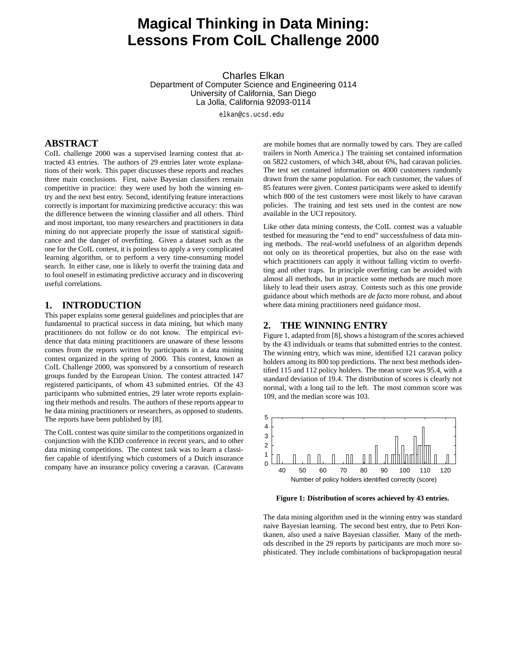# **Magical Thinking in Data Mining: Lessons From CoIL Challenge 2000**

Charles Elkan Department of Computer Science and Engineering 0114 University of California, San Diego La Jolla, California 92093-0114

elkan@cs.ucsd.edu

## **ABSTRACT**

CoIL challenge 2000 was a supervised learning contest that attracted 43 entries. The authors of 29 entries later wrote explanations of their work. This paper discusses these reports and reaches three main conclusions. First, naive Bayesian classifiers remain competitive in practice: they were used by both the winning entry and the next best entry. Second, identifying feature interactions correctly is important for maximizing predictive accuracy: this was the difference between the winning classifier and all others. Third and most important, too many researchers and practitioners in data mining do not appreciate properly the issue of statistical significance and the danger of overfitting. Given a dataset such as the one for the CoIL contest, it is pointless to apply a very complicated learning algorithm, or to perform a very time-consuming model search. In either case, one is likely to overfit the training data and to fool oneself in estimating predictive accuracy and in discovering useful correlations.

# **1. INTRODUCTION**

This paper explains some general guidelines and principles that are fundamental to practical success in data mining, but which many practitioners do not follow or do not know. The empirical evidence that data mining practitioners are unaware of these lessons comes from the reports written by participants in a data mining contest organized in the spring of 2000. This contest, known as CoIL Challenge 2000, was sponsored by a consortium of research groups funded by the European Union. The contest attracted 147 registered participants, of whom 43 submitted entries. Of the 43 participants who submitted entries, 29 later wrote reports explaining their methods and results. The authors of these reports appear to be data mining practitioners or researchers, as opposed to students. The reports have been published by [8].

The CoIL contest was quite similar to the competitions organized in conjunction with the KDD conference in recent years, and to other data mining competitions. The contest task was to learn a classifier capable of identifying which customers of a Dutch insurance company have an insurance policy covering a caravan. (Caravans

are mobile homes that are normally towed by cars. They are called trailers in North America.) The training set contained information on 5822 customers, of which 348, about 6%, had caravan policies. The test set contained information on 4000 customers randomly drawn from the same population. For each customer, the values of 85 features were given. Contest participants were asked to identify which 800 of the test customers were most likely to have caravan policies. The training and test sets used in the contest are now available in the UCI repository.

Like other data mining contests, the CoIL contest was a valuable testbed for measuring the "end to end" successfulness of data mining methods. The real-world usefulness of an algorithm depends not only on its theoretical properties, but also on the ease with which practitioners can apply it without falling victim to overfitting and other traps. In principle overfitting can be avoided with almost all methods, but in practice some methods are much more likely to lead their users astray. Contests such as this one provide guidance about which methods are *de facto* more robust, and about where data mining practitioners need guidance most.

## **2. THE WINNING ENTRY**

Figure 1, adapted from [8], shows a histogram of the scores achieved by the 43 individuals or teams that submitted entries to the contest. The winning entry, which was mine, identified 121 caravan policy holders among its 800 top predictions. The next best methods identified 115 and 112 policy holders. The mean score was 95.4, with a standard deviation of 19.4. The distribution of scores is clearly not normal, with a long tail to the left. The most common score was 109, and the median score was 103.



**Figure 1: Distribution of scores achieved by 43 entries.**

The data mining algorithm used in the winning entry was standard naive Bayesian learning. The second best entry, due to Petri Kontkanen, also used a naive Bayesian classifier. Many of the methods described in the 29 reports by participants are much more sophisticated. They include combinations of backpropagation neural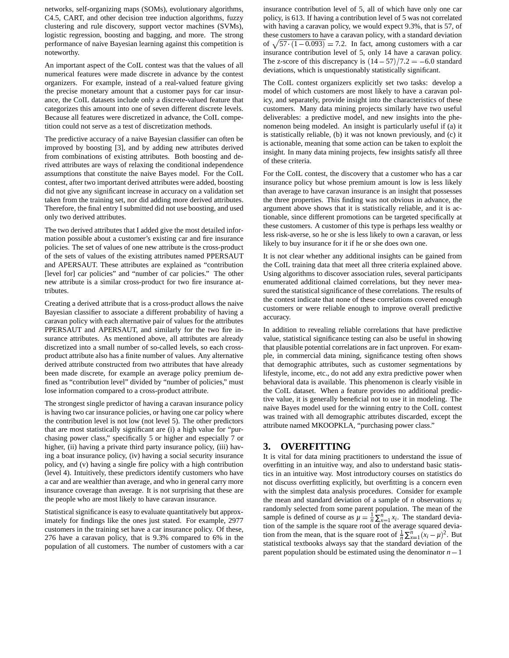networks, self-organizing maps (SOMs), evolutionary algorithms, C4.5, CART, and other decision tree induction algorithms, fuzzy clustering and rule discovery, support vector machines (SVMs), logistic regression, boosting and bagging, and more. The strong performance of naive Bayesian learning against this competition is noteworthy.

An important aspect of the CoIL contest was that the values of all numerical features were made discrete in advance by the contest organizers. For example, instead of a real-valued feature giving the precise monetary amount that a customer pays for car insurance, the CoIL datasets include only a discrete-valued feature that categorizes this amount into one of seven different discrete levels. Because all features were discretized in advance, the CoIL competition could not serve as a test of discretization methods.

The predictive accuracy of a naive Bayesian classifier can often be improved by boosting [3], and by adding new attributes derived from combinations of existing attributes. Both boosting and derived attributes are ways of relaxing the conditional independence assumptions that constitute the naive Bayes model. For the CoIL contest, after two important derived attributes were added, boosting did not give any significant increase in accuracy on a validation set taken from the training set, nor did adding more derived attributes. Therefore, the final entry I submitted did not use boosting, and used only two derived attributes.

The two derived attributes that I added give the most detailed information possible about a customer's existing car and fire insurance policies. The set of values of one new attribute is the cross-product of the sets of values of the existing attributes named PPERSAUT and APERSAUT. These attributes are explained as "contribution [level for] car policies" and "number of car policies." The other new attribute is a similar cross-product for two fire insurance attributes.

Creating a derived attribute that is a cross-product allows the naive Bayesian classifier to associate a different probability of having a caravan policy with each alternative pair of values for the attributes PPERSAUT and APERSAUT, and similarly for the two fire insurance attributes. As mentioned above, all attributes are already discretized into a small number of so-called levels, so each crossproduct attribute also has a finite number of values. Any alternative derived attribute constructed from two attributes that have already been made discrete, for example an average policy premium defined as "contribution level" divided by "number of policies," must lose information compared to a cross-product attribute.

The strongest single predictor of having a caravan insurance policy is having two car insurance policies, or having one car policy where the contribution level is not low (not level 5). The other predictors that are most statistically significant are (i) a high value for "purchasing power class," specifically 5 or higher and especially 7 or higher, (ii) having a private third party insurance policy, (iii) having a boat insurance policy, (iv) having a social security insurance policy, and (v) having a single fire policy with a high contribution (level 4). Intuitively, these predictors identify customers who have a car and are wealthier than average, and who in general carry more insurance coverage than average. It is not surprising that these are the people who are most likely to have caravan insurance.

Statistical significance is easy to evaluate quantitatively but approximately for findings like the ones just stated. For example, 2977 customers in the training set have a car insurance policy. Of these, 276 have a caravan policy, that is 9.3% compared to 6% in the population of all customers. The number of customers with a car

insurance contribution level of 5, all of which have only one car policy, is 613. If having a contribution level of 5 was not correlated with having a caravan policy, we would expect 9.3%, that is 57, of these customers to have a caravan policy, with a standard deviation of  $\sqrt{57 \cdot (1 - 0.093)} = 7.2$ . In fact, among customers with a car insurance contribution level of 5, only 14 have a caravan policy. The z-score of this discrepancy is  $(14 – 57)/7.2 = -6.0$  standard deviations, which is unquestionably statistically significant.

The CoIL contest organizers explicitly set two tasks: develop a model of which customers are most likely to have a caravan policy, and separately, provide insight into the characteristics of these customers. Many data mining projects similarly have two useful deliverables: a predictive model, and new insights into the phenomenon being modeled. An insight is particularly useful if (a) it is statistically reliable, (b) it was not known previously, and (c) it is actionable, meaning that some action can be taken to exploit the insight. In many data mining projects, few insights satisfy all three of these criteria.

For the CoIL contest, the discovery that a customer who has a car insurance policy but whose premium amount is low is less likely than average to have caravan insurance is an insight that possesses the three properties. This finding was not obvious in advance, the argument above shows that it is statistically reliable, and it is actionable, since different promotions can be targeted specifically at these customers. A customer of this type is perhaps less wealthy or less risk-averse, so he or she is less likely to own a caravan, or less likely to buy insurance for it if he or she does own one.

It is not clear whether any additional insights can be gained from the CoIL training data that meet all three criteria explained above. Using algorithms to discover association rules, several participants enumerated additional claimed correlations, but they never measured the statistical significance of these correlations. The results of the contest indicate that none of these correlations covered enough customers or were reliable enough to improve overall predictive accuracy.

In addition to revealing reliable correlations that have predictive value, statistical significance testing can also be useful in showing that plausible potential correlations are in fact unproven. For example, in commercial data mining, significance testing often shows that demographic attributes, such as customer segmentations by lifestyle, income, etc., do not add any extra predictive power when behavioral data is available. This phenomenon is clearly visible in the CoIL dataset. When a feature provides no additional predictive value, it is generally beneficial not to use it in modeling. The naive Bayes model used for the winning entry to the CoIL contest was trained with all demographic attributes discarded, except the attribute named MKOOPKLA, "purchasing power class."

## **3. OVERFITTING**

It is vital for data mining practitioners to understand the issue of overfitting in an intuitive way, and also to understand basic statistics in an intuitive way. Most introductory courses on statistics do not discuss overfitting explicitly, but overfitting is a concern even with the simplest data analysis procedures. Consider for example the mean and standard deviation of a sample of *n* observations  $x_i$ randomly selected from some parent population. The mean of the sample is defined of course as  $\mu = \frac{1}{n} \sum_{x=1}^{n} x_i$ . The standard deviation of the sample is the square root of the average squared deviation from the mean, that is the square root of  $\frac{1}{n} \sum_{x=1}^{n} (x_i - \mu)^2$ . But statistical textbooks always say that the standard deviation of the parent population should be estimated using the denominator  $n - 1$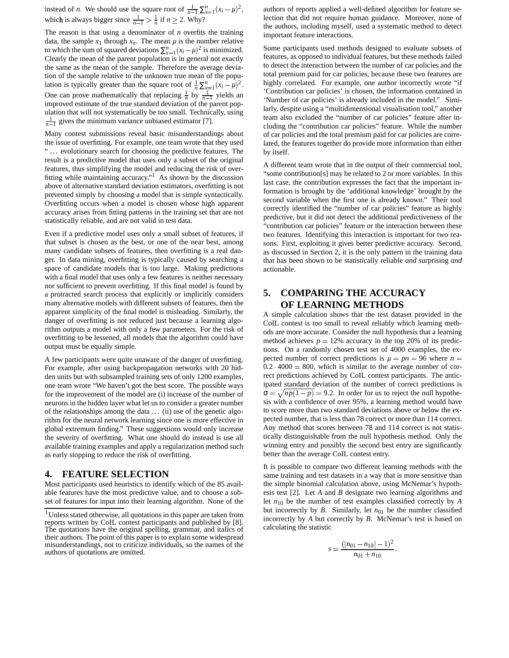instead of *n*. We should use the square root of  $\frac{1}{n-1} \sum_{x=1}^{n} (x_i - \mu)^2$ , au which is always bigger since  $\frac{1}{n-1} > \frac{1}{n}$  if  $n \ge 2$ . Why?

The reason is that using a denominator of *n* overfits the training data, the sample  $x_1$  through  $x_n$ . The mean  $\mu$  is the number relative to which the sum of squared deviations  $\sum_{x=1}^{n} (x_i - \mu)^2$  is minimized. Clearly the mean of the parent population is in general not exactly the same as the mean of the sample. Therefore the average deviation of the sample relative to the unknown true mean of the population is typically greater than the square root of  $\frac{1}{n} \sum_{x=1}^{n} (x_i - \mu)^2$ . One can prove mathematically that replacing  $\frac{1}{n}$  by  $\frac{1}{n-1}$  yields an improved estimate of the true standard deviation of the parent population that will not systematically be too small. Technically, using  $\frac{1}{n-1}$  gives the minimum variance unbiased estimator [7].

Many contest submissions reveal basic misunderstandings about the issue of overfitting. For example, one team wrote that they used " evolutionary search for choosing the predictive features. The result is a predictive model that uses only a subset of the original features, thus simplifying the model and reducing the risk of overfitting while maintaining accuracy." <sup>1</sup> As shown by the discussion above of alternative standard deviation estimators, overfitting is not prevented simply by choosing a model that is simple syntactically. Overfitting occurs when a model is chosen whose high apparent accuracy arises from fitting patterns in the training set that are not statistically reliable, and are not valid in test data.

Even if a predictive model uses only a small subset of features, if that subset is chosen as the best, or one of the near best, among many candidate subsets of features, then overfitting is a real danger. In data mining, overfitting is typically caused by searching a space of candidate models that is too large. Making predictions with a final model that uses only a few features is neither necessary nor sufficient to prevent overfitting. If this final model is found by a protracted search process that explicitly or implicitly considers many alternative models with different subsets of features, then the apparent simplicity of the final model is misleading. Similarly, the danger of overfitting is not reduced just because a learning algorithm outputs a model with only a few parameters. For the risk of overfitting to be lessened, all models that the algorithm could have output must be equally simple.

A few participants were quite unaware of the danger of overfitting. For example, after using backpropagation networks with 20 hidden units but with subsampled training sets of only 1200 examples, one team wrote "We haven't got the best score. The possible ways for the improvement of the model are (i) increase of the number of neurons in the hidden layer what let us to consider a greater number of the relationships among the data (ii) use of the genetic algorithm for the neural network learning since one is more effective in global extremum finding." These suggestions would only increase the severity of overfitting. What one should do instead is use all available training examples and apply a regularization method such as early stopping to reduce the risk of overfitting.

## **4. FEATURE SELECTION**

Most participants used heuristics to identify which of the 85 available features have the most predictive value, and to choose a subset of features for input into their learning algorithm. None of the

authors of reports applied a well-defined algorithm for feature selection that did not require human guidance. Moreover, none of the authors, including myself, used a systematic method to detect important feature interactions.

Some participants used methods designed to evaluate subsets of features, as opposed to individual features, but these methods failed to detect the interaction between the number of car policies and the total premium paid for car policies, because these two features are highly correlated. For example, one author incorrectly wrote "if 'Contribution car policies' is chosen, the information contained in 'Number of car policies' is already included in the model." Similarly, despite using a "multidimensional visualisation tool," another team also excluded the "number of car policies" feature after including the "contribution car policies" feature. While the number of car policies and the total premium paid for car policies are correlated, the features together do provide more information than either by itself.

A different team wrote that in the output of their commercial tool, "some contribution[s] may be related to 2 or more variables. In this last case, the contribution expresses the fact that the important information is brought by the 'additional knowledge' brought by the second variable when the first one is already known." Their tool correctly identified the "number of car policies" feature as highly predictive, but it did not detect the additional predictiveness of the "contribution car policies" feature or the interaction between these two features. Identifying this interaction is important for two reasons. First, exploiting it gives better predictive accuracy. Second, as discussed in Section 2, it is the only pattern in the training data that has been shown to be statistically reliable *and* surprising *and* actionable.

# **5. COMPARING THE ACCURACY OF LEARNING METHODS**

A simple calculation shows that the test dataset provided in the CoIL contest is too small to reveal reliably which learning methods are more accurate. Consider the null hypothesis that a learning method achieves  $p = 12%$  accuracy in the top 20% of its predictions. On a randomly chosen test set of 4000 examples, the expected number of correct predictions is  $\mu = pn = 96$  where  $n =$  $0.2 \cdot 4000 = 800$ , which is similar to the average number of correct predictions achieved by CoIL contest participants. The anticipated standard deviation of the number of correct predictions is  $\sigma = \sqrt{np(1-p)} = 9.2$ . In order for us to reject the null hypothesis with a confidence of over 95%, a learning method would have to score more than two standard deviations above or below the expected number, that is less than 78 correct or more than 114 correct. Any method that scores between 78 and 114 correct is not statistically distinguishable from the null hypothesis method. Only the winning entry and possibly the second best entry are significantly better than the average CoIL contest entry.

It is possible to compare two different learning methods with the same training and test datasets in a way that is more sensitive than the simple binomial calculation above, using McNemar's hypothesis test [2]. Let *A* and *B* designate two learning algorithms and let *n*<sup>10</sup> be the number of test examples classified correctly by *A* but incorrectly by *B*. Similarly, let  $n_{01}$  be the number classified incorrectly by *A* but correctly by *B*. McNemar's test is based on calculating the statistic

$$
s=\frac{(|n_{01}-n_{10}|-1)^2}{n_{01}+n_{10}}.
$$

<sup>1</sup>Unless stated otherwise, all quotations in this paper are taken from reports written by CoIL contest participants and published by [8]. The quotations have the original spelling, grammar, and italics of their authors. The point of this paper is to explain some widespread misunderstandings, not to criticize individuals, so the names of the authors of quotations are omitted.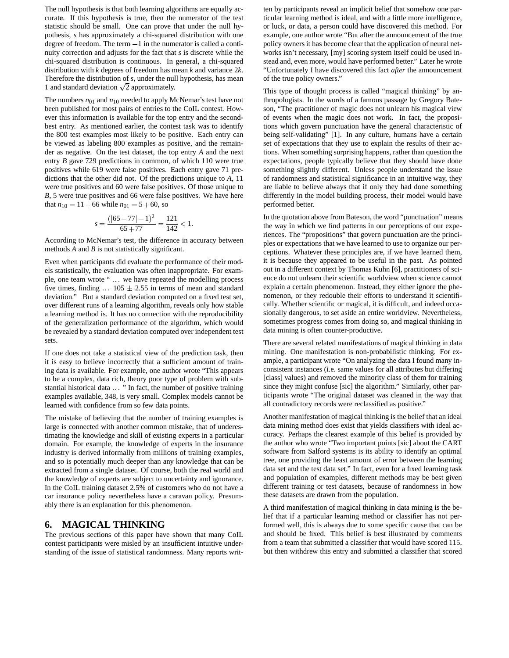The null hypothesis is that both learning algorithms are equally accurate. If this hypothesis is true, then the numerator of the test statistic should be small. One can prove that under the null hypothesis, *s* has approximately a chi-squared distribution with one degree of freedom. The term  $-1$  in the numerator is called a continuity correction and adjusts for the fact that *s* is discrete while the chi-squared distribution is continuous. In general, a chi-squared distribution with *k* degrees of freedom has mean *k* and variance 2*k*. Therefore the distribution of *s*, under the null hypothesis, has mean 1 and standard deviation  $\sqrt{2}$  approximately.

The numbers  $n_{01}$  and  $n_{10}$  needed to apply McNemar's test have not been published for most pairs of entries to the CoIL contest. However this information is available for the top entry and the secondbest entry. As mentioned earlier, the contest task was to identify the 800 test examples most likely to be positive. Each entry can be viewed as labeling 800 examples as positive, and the remainder as negative. On the test dataset, the top entry *A* and the next entry *B* gave 729 predictions in common, of which 110 were true positives while 619 were false positives. Each entry gave 71 predictions that the other did not. Of the predictions unique to *A*, 11 were true positives and 60 were false positives. Of those unique to *B*, 5 were true positives and 66 were false positives. We have here that  $n_{10} = 11 + 66$  while  $n_{01} = 5 + 60$ , so

$$
s = \frac{(|65 - 77| - 1)^2}{65 + 77} = \frac{121}{142} < 1.
$$

According to McNemar's test, the difference in accuracy between methods *A* and *B* is not statistically significant.

Even when participants did evaluate the performance of their models statistically, the evaluation was often inappropriate. For example, one team wrote " we have repeated the modelling process five times, finding  $105 \pm 2.55$  in terms of mean and standard deviation." But a standard deviation computed on a fixed test set, over different runs of a learning algorithm, reveals only how stable a learning method is. It has no connection with the reproducibility of the generalization performance of the algorithm, which would be revealed by a standard deviation computed over independent test sets.

If one does not take a statistical view of the prediction task, then it is easy to believe incorrectly that a sufficient amount of training data is available. For example, one author wrote "This appears to be a complex, data rich, theory poor type of problem with substantial historical data " In fact, the number of positive training examples available, 348, is very small. Complex models cannot be learned with confidence from so few data points.

The mistake of believing that the number of training examples is large is connected with another common mistake, that of underestimating the knowledge and skill of existing experts in a particular domain. For example, the knowledge of experts in the insurance industry is derived informally from millions of training examples, and so is potentially much deeper than any knowledge that can be extracted from a single dataset. Of course, both the real world and the knowledge of experts are subject to uncertainty and ignorance. In the CoIL training dataset 2.5% of customers who do not have a car insurance policy nevertheless have a caravan policy. Presumably there is an explanation for this phenomenon.

## **6. MAGICAL THINKING**

The previous sections of this paper have shown that many CoIL contest participants were misled by an insufficient intuitive understanding of the issue of statistical randomness. Many reports written by participants reveal an implicit belief that somehow one particular learning method is ideal, and with a little more intelligence, or luck, or data, a person could have discovered this method. For example, one author wrote "But after the announcement of the true policy owners it has become clear that the application of neural networks isn't necessary, [my] scoring system itself could be used instead and, even more, would have performed better." Later he wrote "Unfortunately I have discovered this fact *after* the announcement of the true policy owners."

This type of thought process is called "magical thinking" by anthropologists. In the words of a famous passage by Gregory Bateson, "The practitioner of magic does not unlearn his magical view of events when the magic does not work. In fact, the propositions which govern punctuation have the general characteristic of being self-validating" [1]. In any culture, humans have a certain set of expectations that they use to explain the results of their actions. When something surprising happens, rather than question the expectations, people typically believe that they should have done something slightly different. Unless people understand the issue of randomness and statistical significance in an intuitive way, they are liable to believe always that if only they had done something differently in the model building process, their model would have performed better.

In the quotation above from Bateson, the word "punctuation" means the way in which we find patterns in our perceptions of our experiences. The "propositions" that govern punctuation are the principles or expectations that we have learned to use to organize our perceptions. Whatever these principles are, if we have learned them, it is because they appeared to be useful in the past. As pointed out in a different context by Thomas Kuhn [6], practitioners of science do not unlearn their scientific worldview when science cannot explain a certain phenomenon. Instead, they either ignore the phenomenon, or they redouble their efforts to understand it scientifically. Whether scientific or magical, it is difficult, and indeed occasionally dangerous, to set aside an entire worldview. Nevertheless, sometimes progress comes from doing so, and magical thinking in data mining is often counter-productive.

There are several related manifestations of magical thinking in data mining. One manifestation is non-probabilistic thinking. For example, a participant wrote "On analyzing the data I found many inconsistent instances (i.e. same values for all attributes but differing [class] values) and removed the minority class of them for training since they might confuse [sic] the algorithm." Similarly, other participants wrote "The original dataset was cleaned in the way that all contradictory records were reclassified as positive."

Another manifestation of magical thinking is the belief that an ideal data mining method does exist that yields classifiers with ideal accuracy. Perhaps the clearest example of this belief is provided by the author who wrote "Two important points [sic] about the CART software from Salford systems is its ability to identify an optimal tree, one providing the least amount of error between the learning data set and the test data set." In fact, even for a fixed learning task and population of examples, different methods may be best given different training or test datasets, because of randomness in how these datasets are drawn from the population.

A third manifestation of magical thinking in data mining is the belief that if a particular learning method or classifier has not performed well, this is always due to some specific cause that can be and should be fixed. This belief is best illustrated by comments from a team that submitted a classifier that would have scored 115, but then withdrew this entry and submitted a classifier that scored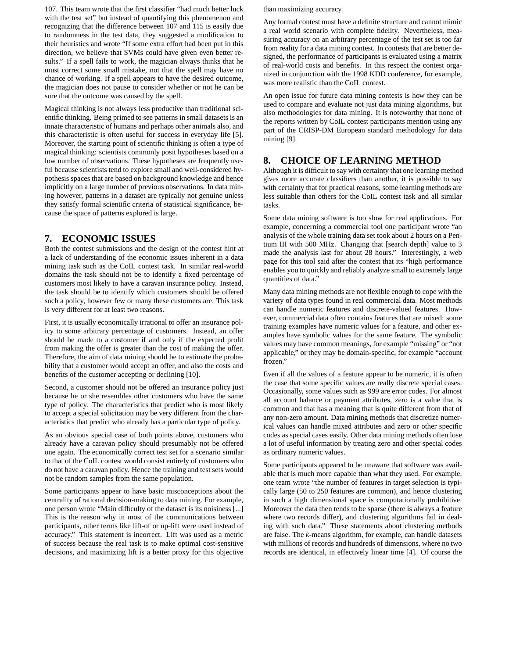107. This team wrote that the first classifier "had much better luck with the test set" but instead of quantifying this phenomenon and recognizing that the difference between 107 and 115 is easily due to randomness in the test data, they suggested a modification to their heuristics and wrote "If some extra effort had been put in this direction, we believe that SVMs could have given even better results." If a spell fails to work, the magician always thinks that he must correct some small mistake, not that the spell may have no chance of working. If a spell appears to have the desired outcome, the magician does not pause to consider whether or not he can be sure that the outcome was caused by the spell.

Magical thinking is not always less productive than traditional scientific thinking. Being primed to see patterns in small datasets is an innate characteristic of humans and perhaps other animals also, and this characteristic is often useful for success in everyday life [5]. Moreover, the starting point of scientific thinking is often a type of magical thinking: scientists commonly posit hypotheses based on a low number of observations. These hypotheses are frequently useful because scientists tend to explore small and well-considered hypothesis spaces that are based on background knowledge and hence implicitly on a large number of previous observations. In data mining however, patterns in a dataset are typically not genuine unless they satisfy formal scientific criteria of statistical significance, because the space of patterns explored is large.

## **7. ECONOMIC ISSUES**

Both the contest submissions and the design of the contest hint at a lack of understanding of the economic issues inherent in a data mining task such as the CoIL contest task. In similar real-world domains the task should not be to identify a fixed percentage of customers most likely to have a caravan insurance policy. Instead, the task should be to identify which customers should be offered such a policy, however few or many these customers are. This task is very different for at least two reasons.

First, it is usually economically irrational to offer an insurance policy to some arbitrary percentage of customers. Instead, an offer should be made to a customer if and only if the expected profit from making the offer is greater than the cost of making the offer. Therefore, the aim of data mining should be to estimate the probability that a customer would accept an offer, and also the costs and benefits of the customer accepting or declining [10].

Second, a customer should not be offered an insurance policy just because he or she resembles other customers who have the same type of policy. The characteristics that predict who is most likely to accept a special solicitation may be very different from the characteristics that predict who already has a particular type of policy.

As an obvious special case of both points above, customers who already have a caravan policy should presumably not be offered one again. The economically correct test set for a scenario similar to that of the CoIL contest would consist entirely of customers who do not have a caravan policy. Hence the training and test sets would not be random samples from the same population.

Some participants appear to have basic misconceptions about the centrality of rational decision-making to data mining. For example, one person wrote "Main difficulty of the dataset is its noisiness [...] This is the reason why in most of the communications between participants, other terms like lift-of or up-lift were used instead of accuracy." This statement is incorrect. Lift was used as a metric of success because the real task is to make optimal cost-sensitive decisions, and maximizing lift is a better proxy for this objective

than maximizing accuracy.

Any formal contest must have a definite structure and cannot mimic a real world scenario with complete fidelity. Nevertheless, measuring accuracy on an arbitrary percentage of the test set is too far from reality for a data mining contest. In contests that are better designed, the performance of participants is evaluated using a matrix of real-world costs and benefits. In this respect the contest organized in conjunction with the 1998 KDD conference, for example, was more realistic than the CoIL contest.

An open issue for future data mining contests is how they can be used to compare and evaluate not just data mining algorithms, but also methodologies for data mining. It is noteworthy that none of the reports written by CoIL contest participants mention using any part of the CRISP-DM European standard methodology for data mining [9].

# **8. CHOICE OF LEARNING METHOD**

Although it is difficult to say with certainty that one learning method gives more accurate classifiers than another, it is possible to say with certainty that for practical reasons, some learning methods are less suitable than others for the CoIL contest task and all similar tasks.

Some data mining software is too slow for real applications. For example, concerning a commercial tool one participant wrote "an analysis of the whole training data set took about 2 hours on a Pentium III with 500 MHz. Changing that [search depth] value to 3 made the analysis last for about 28 hours." Interestingly, a web page for this tool said after the contest that its "high performance enables you to quickly and reliably analyze small to extremely large quantities of data."

Many data mining methods are not flexible enough to cope with the variety of data types found in real commercial data. Most methods can handle numeric features and discrete-valued features. However, commercial data often contains features that are mixed: some training examples have numeric values for a feature, and other examples have symbolic values for the same feature. The symbolic values may have common meanings, for example "missing" or "not applicable," or they may be domain-specific, for example "account frozen."

Even if all the values of a feature appear to be numeric, it is often the case that some specific values are really discrete special cases. Occasionally, some values such as 999 are error codes. For almost all account balance or payment attributes, zero is a value that is common and that has a meaning that is quite different from that of any non-zero amount. Data mining methods that discretize numerical values can handle mixed attributes and zero or other specific codes as special cases easily. Other data mining methods often lose a lot of useful information by treating zero and other special codes as ordinary numeric values.

Some participants appeared to be unaware that software was available that is much more capable than what they used. For example, one team wrote "the number of features in target selection is typically large (50 to 250 features are common), and hence clustering in such a high dimensional space is computationally prohibitive. Moreover the data then tends to be sparse (there is always a feature where two records differ), and clustering algorithms fail in dealing with such data." These statements about clustering methods are false. The *k*-means algorithm, for example, can handle datasets with millions of records and hundreds of dimensions, where no two records are identical, in effectively linear time [4]. Of course the